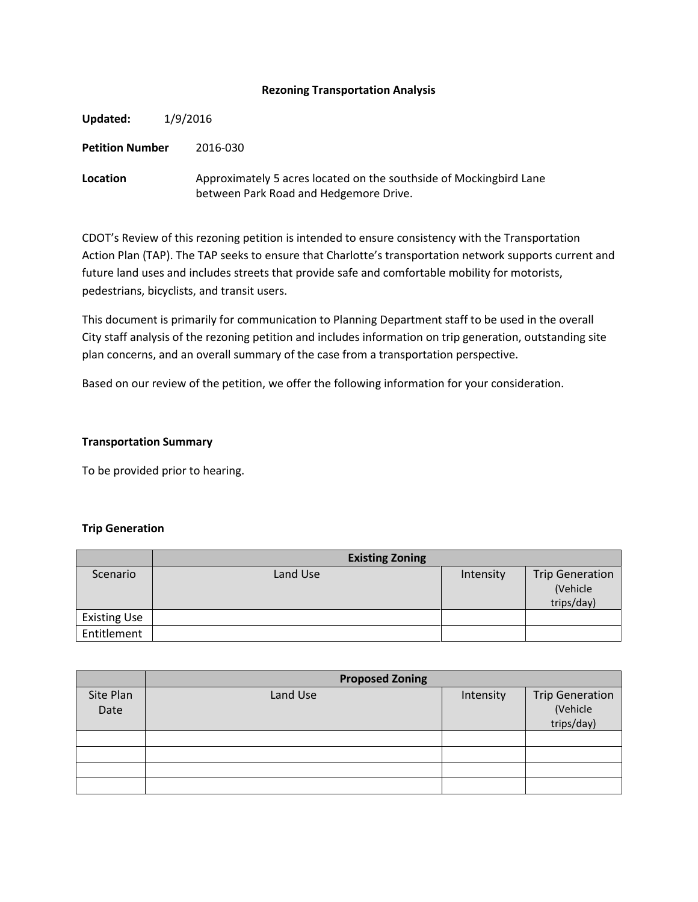### **Rezoning Transportation Analysis**

| Updated:               | 1/9/2016                                                                                                     |  |  |
|------------------------|--------------------------------------------------------------------------------------------------------------|--|--|
| <b>Petition Number</b> | 2016-030                                                                                                     |  |  |
| Location               | Approximately 5 acres located on the southside of Mockingbird Lane<br>between Park Road and Hedgemore Drive. |  |  |

CDOT's Review of this rezoning petition is intended to ensure consistency with the Transportation Action Plan (TAP). The TAP seeks to ensure that Charlotte's transportation network supports current and future land uses and includes streets that provide safe and comfortable mobility for motorists, pedestrians, bicyclists, and transit users.

This document is primarily for communication to Planning Department staff to be used in the overall City staff analysis of the rezoning petition and includes information on trip generation, outstanding site plan concerns, and an overall summary of the case from a transportation perspective.

Based on our review of the petition, we offer the following information for your consideration.

### **Transportation Summary**

To be provided prior to hearing.

# **Trip Generation**

|                     | <b>Existing Zoning</b> |           |                                                  |
|---------------------|------------------------|-----------|--------------------------------------------------|
| Scenario            | Land Use               | Intensity | <b>Trip Generation</b><br>(Vehicle<br>trips/day) |
| <b>Existing Use</b> |                        |           |                                                  |
| Entitlement         |                        |           |                                                  |

|                   | <b>Proposed Zoning</b> |           |                                                  |  |
|-------------------|------------------------|-----------|--------------------------------------------------|--|
| Site Plan<br>Date | Land Use               | Intensity | <b>Trip Generation</b><br>(Vehicle<br>trips/day) |  |
|                   |                        |           |                                                  |  |
|                   |                        |           |                                                  |  |
|                   |                        |           |                                                  |  |
|                   |                        |           |                                                  |  |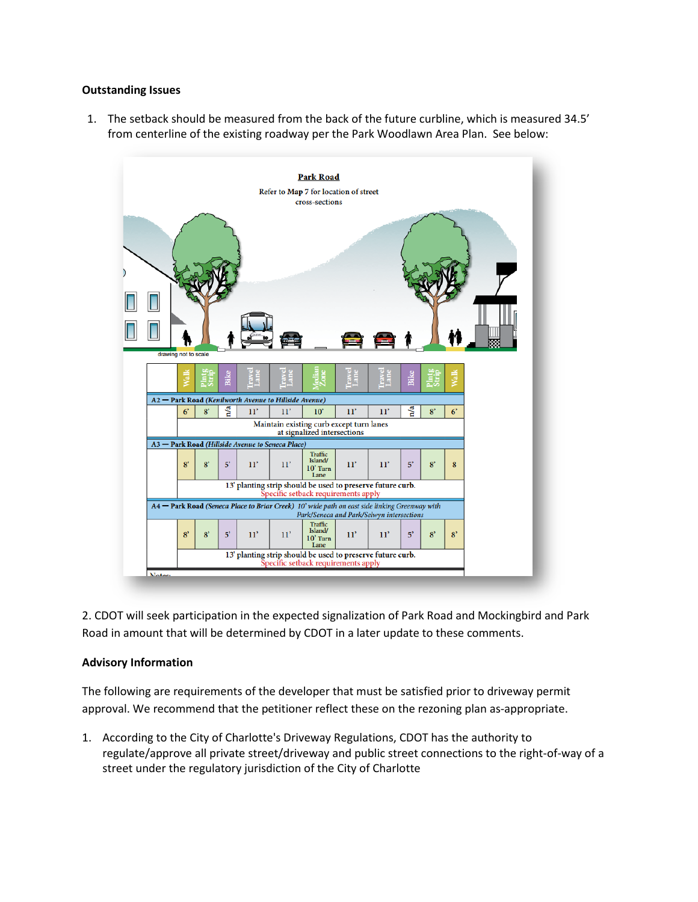# **Outstanding Issues**

1. The setback should be measured from the back of the future curbline, which is measured 34.5' from centerline of the existing roadway per the Park Woodlawn Area Plan. See below:



2. CDOT will seek participation in the expected signalization of Park Road and Mockingbird and Park Road in amount that will be determined by CDOT in a later update to these comments.

# **Advisory Information**

The following are requirements of the developer that must be satisfied prior to driveway permit approval. We recommend that the petitioner reflect these on the rezoning plan as-appropriate.

1. According to the City of Charlotte's Driveway Regulations, CDOT has the authority to regulate/approve all private street/driveway and public street connections to the right-of-way of a street under the regulatory jurisdiction of the City of Charlotte